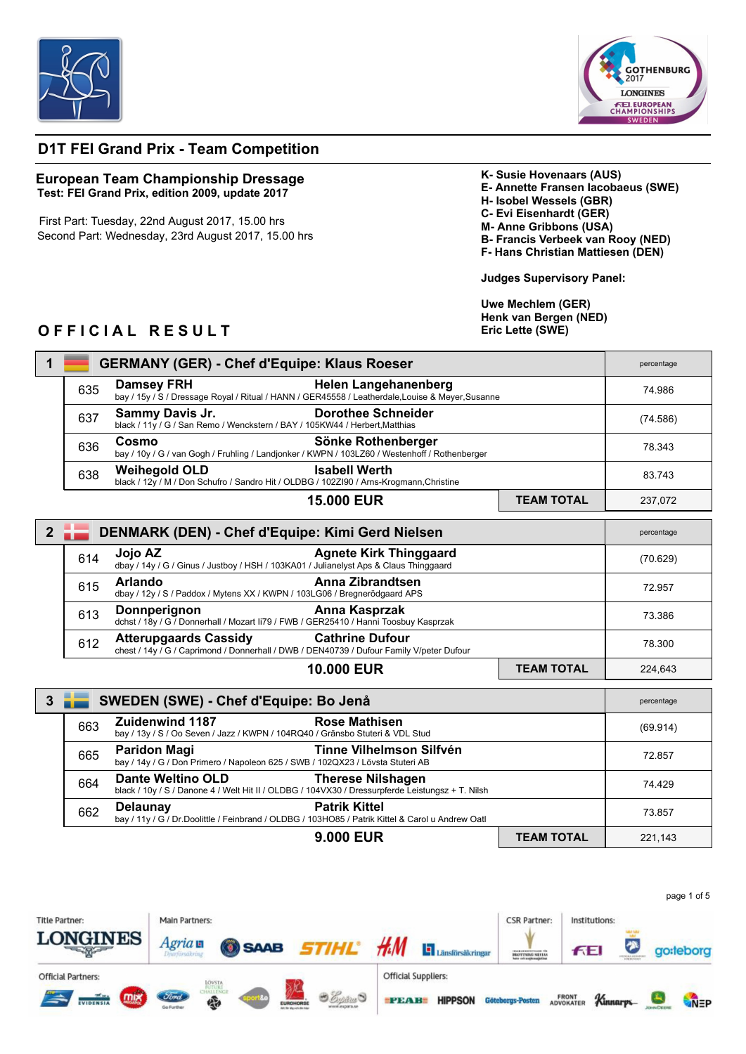



## **D1T FEI Grand Prix - Team Competition**

## **European Team Championship Dressage Test: FEI Grand Prix, edition 2009, update 2017**

First Part: Tuesday, 22nd August 2017, 15.00 hrs Second Part: Wednesday, 23rd August 2017, 15.00 hrs **K- Susie Hovenaars (AUS) E- Annette Fransen Iacobaeus (SWE) H- Isobel Wessels (GBR) C- Evi Eisenhardt (GER) M- Anne Gribbons (USA) B- Francis Verbeek van Rooy (NED) F- Hans Christian Mattiesen (DEN)**

**Judges Supervisory Panel:**

**Uwe Mechlem (GER) Henk van Bergen (NED) Eric Lette (SWE)**

## **OFFICIAL RESULT**

|                |                  | <b>GERMANY (GER) - Chef d'Equipe: Klaus Roeser</b>                                                                                                       |                   | percentage |
|----------------|------------------|----------------------------------------------------------------------------------------------------------------------------------------------------------|-------------------|------------|
|                | 635              | <b>Damsey FRH</b><br><b>Helen Langehanenberg</b><br>bay / 15y / S / Dressage Royal / Ritual / HANN / GER45558 / Leatherdale, Louise & Meyer, Susanne     |                   | 74.986     |
|                | 637              | Sammy Davis Jr.<br><b>Dorothee Schneider</b><br>black / 11y / G / San Remo / Wenckstern / BAY / 105KW44 / Herbert, Matthias                              |                   | (74.586)   |
|                | 636              | Cosmo<br>Sönke Rothenberger<br>bay / 10y / G / van Gogh / Fruhling / Landjonker / KWPN / 103LZ60 / Westenhoff / Rothenberger                             |                   | 78.343     |
|                | 638              | <b>Isabell Werth</b><br><b>Weihegold OLD</b><br>black / 12y / M / Don Schufro / Sandro Hit / OLDBG / 102ZI90 / Arns-Krogmann, Christine                  |                   | 83.743     |
|                |                  | <b>15,000 EUR</b>                                                                                                                                        | <b>TEAM TOTAL</b> | 237,072    |
| 2 <sup>7</sup> |                  | DENMARK (DEN) - Chef d'Equipe: Kimi Gerd Nielsen                                                                                                         |                   | percentage |
|                | 614              | Jojo AZ<br><b>Agnete Kirk Thinggaard</b><br>dbay / 14y / G / Ginus / Justboy / HSH / 103KA01 / Julianelyst Aps & Claus Thinggaard                        |                   | (70.629)   |
|                | 615              | <b>Anna Zibrandtsen</b><br><b>Arlando</b><br>dbay / 12y / S / Paddox / Mytens XX / KWPN / 103LG06 / Bregnerödgaard APS                                   |                   | 72.957     |
|                | 613              | Anna Kasprzak<br>Donnperignon<br>dchst / 18y / G / Donnerhall / Mozart Ii79 / FWB / GER25410 / Hanni Toosbuy Kasprzak                                    |                   | 73.386     |
|                | 612              | <b>Atterupgaards Cassidy</b><br><b>Cathrine Dufour</b><br>chest / 14y / G / Caprimond / Donnerhall / DWB / DEN40739 / Dufour Family V/peter Dufour       |                   | 78.300     |
|                |                  | <b>10,000 EUR</b>                                                                                                                                        | <b>TEAM TOTAL</b> | 224,643    |
|                | $3 \frac{1}{10}$ | SWEDEN (SWE) - Chef d'Equipe: Bo Jenå                                                                                                                    |                   | percentage |
|                | 663              | <b>Zuidenwind 1187</b><br><b>Rose Mathisen</b><br>bay / 13y / S / Oo Seven / Jazz / KWPN / 104RQ40 / Gränsbo Stuteri & VDL Stud                          |                   | (69.914)   |
|                | 665              | Tinne Vilhelmson Silfvén<br><b>Paridon Magi</b><br>bay / 14y / G / Don Primero / Napoleon 625 / SWB / 102QX23 / Lövsta Stuteri AB                        |                   | 72.857     |
|                | 664              | <b>Dante Weltino OLD</b><br><b>Therese Nilshagen</b><br>black / 10y / S / Danone 4 / Welt Hit II / OLDBG / 104VX30 / Dressurpferde Leistungsz + T. Nilsh |                   | 74.429     |
|                | 662              | <b>Patrik Kittel</b><br><b>Delaunay</b><br>bay / 11y / G / Dr.Doolittle / Feinbrand / OLDBG / 103HO85 / Patrik Kittel & Carol u Andrew Oatl              |                   | 73.857     |
|                |                  | <b>9.000 EUR</b>                                                                                                                                         | <b>TEAM TOTAL</b> | 221.143    |

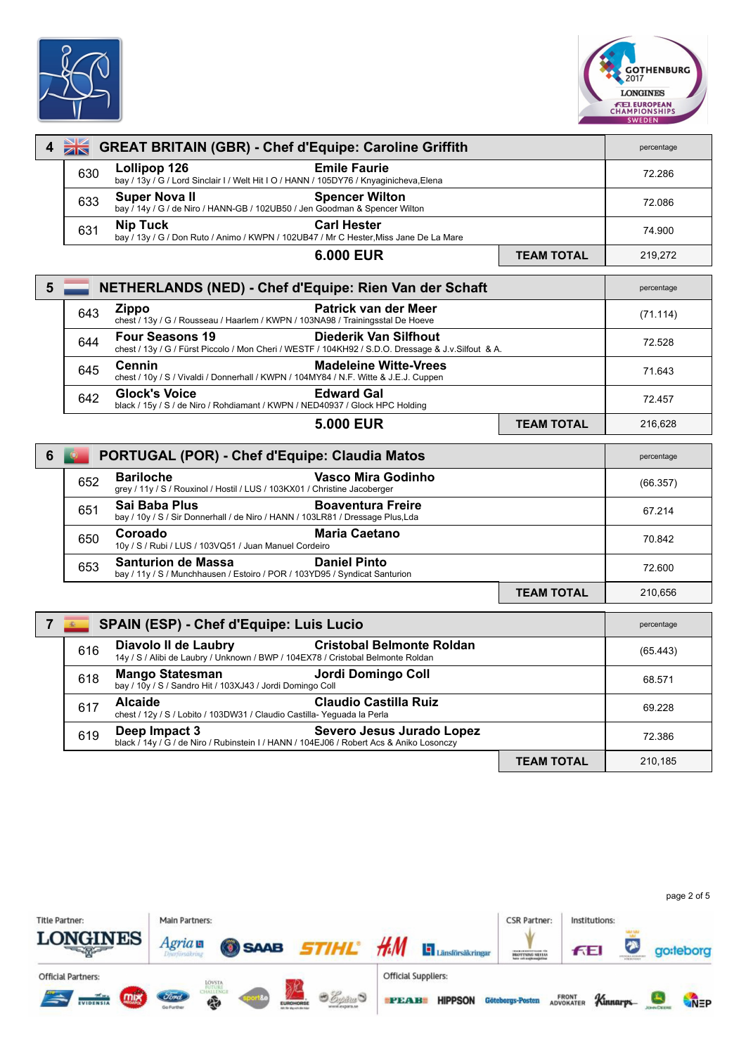



| 4              | $\frac{1}{2}$ | <b>GREAT BRITAIN (GBR) - Chef d'Equipe: Caroline Griffith</b>                                                                                         |                   | percentage |
|----------------|---------------|-------------------------------------------------------------------------------------------------------------------------------------------------------|-------------------|------------|
|                | 630           | Lollipop 126<br><b>Emile Faurie</b><br>bay / 13y / G / Lord Sinclair I / Welt Hit I O / HANN / 105DY76 / Knyaginicheva, Elena                         |                   | 72.286     |
|                | 633           | <b>Super Novall</b><br><b>Spencer Wilton</b><br>bay / 14y / G / de Niro / HANN-GB / 102UB50 / Jen Goodman & Spencer Wilton                            |                   | 72.086     |
|                | 631           | <b>Nip Tuck</b><br><b>Carl Hester</b><br>bay / 13y / G / Don Ruto / Animo / KWPN / 102UB47 / Mr C Hester, Miss Jane De La Mare                        |                   | 74.900     |
|                |               | 6.000 EUR                                                                                                                                             | <b>TEAM TOTAL</b> | 219,272    |
| $5\phantom{1}$ |               | NETHERLANDS (NED) - Chef d'Equipe: Rien Van der Schaft                                                                                                |                   | percentage |
|                | 643           | Patrick van der Meer<br><b>Zippo</b><br>chest / 13y / G / Rousseau / Haarlem / KWPN / 103NA98 / Trainingsstal De Hoeve                                |                   | (71.114)   |
|                | 644           | <b>Four Seasons 19</b><br>Diederik Van Silfhout<br>chest / 13y / G / Fürst Piccolo / Mon Cheri / WESTF / 104KH92 / S.D.O. Dressage & J.v.Silfout & A. |                   | 72.528     |
|                | 645           | <b>Cennin</b><br><b>Madeleine Witte-Vrees</b><br>chest / 10y / S / Vivaldi / Donnerhall / KWPN / 104MY84 / N.F. Witte & J.E.J. Cuppen                 |                   | 71.643     |
|                | 642           | <b>Glock's Voice</b><br><b>Edward Gal</b><br>black / 15y / S / de Niro / Rohdiamant / KWPN / NED40937 / Glock HPC Holding                             |                   | 72.457     |
|                |               | <b>5.000 EUR</b>                                                                                                                                      | <b>TEAM TOTAL</b> | 216,628    |
| 6              |               | PORTUGAL (POR) - Chef d'Equipe: Claudia Matos                                                                                                         |                   | percentage |
|                | 652           | <b>Bariloche</b><br>Vasco Mira Godinho<br>grey / 11y / S / Rouxinol / Hostil / LUS / 103KX01 / Christine Jacoberger                                   |                   | (66.357)   |
|                | 651           | Sai Baba Plus<br><b>Boaventura Freire</b><br>bay / 10y / S / Sir Donnerhall / de Niro / HANN / 103LR81 / Dressage Plus, Lda                           |                   | 67.214     |
|                | 650           | Coroado<br><b>Maria Caetano</b><br>10y / S / Rubi / LUS / 103VQ51 / Juan Manuel Cordeiro                                                              |                   | 70.842     |
|                | 653           | <b>Santurion de Massa</b><br><b>Daniel Pinto</b><br>bay / 11y / S / Munchhausen / Estoiro / POR / 103YD95 / Syndicat Santurion                        |                   | 72.600     |
|                |               |                                                                                                                                                       | <b>TEAM TOTAL</b> | 210.656    |
| $\overline{7}$ | 高             | <b>SPAIN (ESP) - Chef d'Equipe: Luis Lucio</b>                                                                                                        |                   | percentage |
|                | 616           | <b>Diavolo II de Laubry</b><br><b>Cristobal Belmonte Roldan</b><br>14y / S / Alibi de Laubry / Unknown / BWP / 104EX78 / Cristobal Belmonte Roldan    |                   | (65.443)   |
|                | 618           | Jordi Domingo Coll<br><b>Mango Statesman</b><br>bay / 10y / S / Sandro Hit / 103XJ43 / Jordi Domingo Coll                                             |                   | 68.571     |
|                | 617           | <b>Alcaide</b><br><b>Claudio Castilla Ruiz</b><br>chest / 12y / S / Lobito / 103DW31 / Claudio Castilla- Yeguada la Perla                             |                   | 69.228     |
|                | 619           | Deep Impact 3<br>Severo Jesus Jurado Lopez<br>black / 14y / G / de Niro / Rubinstein I / HANN / 104EJ06 / Robert Acs & Aniko Losonczy                 |                   | 72.386     |
|                |               |                                                                                                                                                       | <b>TEAM TOTAL</b> | 210.185    |

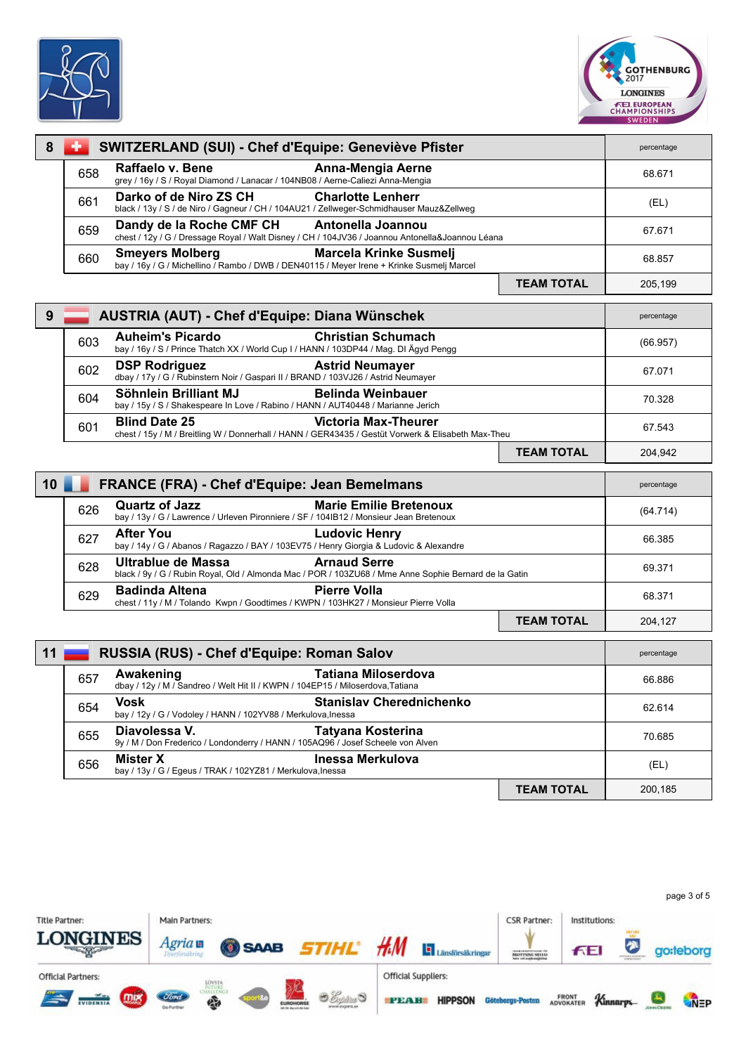



| 8  |                                                                                                                                                           | SWITZERLAND (SUI) - Chef d'Equipe: Geneviève Pfister                                                                                                      |                   | percentage |
|----|-----------------------------------------------------------------------------------------------------------------------------------------------------------|-----------------------------------------------------------------------------------------------------------------------------------------------------------|-------------------|------------|
|    | 658                                                                                                                                                       | Raffaelo v. Bene<br>Anna-Mengia Aerne<br>grey / 16y / S / Royal Diamond / Lanacar / 104NB08 / Aerne-Caliezi Anna-Mengia                                   |                   | 68.671     |
|    | 661                                                                                                                                                       | Darko of de Niro ZS CH<br><b>Charlotte Lenherr</b><br>black / 13y / S / de Niro / Gagneur / CH / 104AU21 / Zellweger-Schmidhauser Mauz&Zellweg            |                   | (EL)       |
|    | 659                                                                                                                                                       | Dandy de la Roche CMF CH<br>Antonella Joannou<br>chest / 12y / G / Dressage Royal / Walt Disney / CH / 104JV36 / Joannou Antonella&Joannou Léana          |                   | 67.671     |
|    | 660                                                                                                                                                       | <b>Smeyers Molberg</b><br><b>Marcela Krinke Susmelj</b><br>bay / 16y / G / Michellino / Rambo / DWB / DEN40115 / Meyer Irene + Krinke Susmelj Marcel      |                   | 68.857     |
|    |                                                                                                                                                           |                                                                                                                                                           | <b>TEAM TOTAL</b> | 205,199    |
| 9  |                                                                                                                                                           | AUSTRIA (AUT) - Chef d'Equipe: Diana Wünschek                                                                                                             |                   | percentage |
|    | 603                                                                                                                                                       | <b>Auheim's Picardo</b><br><b>Christian Schumach</b><br>bay / 16y / S / Prince Thatch XX / World Cup I / HANN / 103DP44 / Mag. DI Ägyd Pengg              |                   | (66.957)   |
|    | 602                                                                                                                                                       | <b>DSP Rodriguez</b><br><b>Astrid Neumayer</b><br>dbay / 17y / G / Rubinstern Noir / Gaspari II / BRAND / 103VJ26 / Astrid Neumayer                       |                   | 67.071     |
|    | 604                                                                                                                                                       | Söhnlein Brilliant MJ<br><b>Belinda Weinbauer</b><br>bay / 15y / S / Shakespeare In Love / Rabino / HANN / AUT40448 / Marianne Jerich                     |                   | 70.328     |
|    | 601                                                                                                                                                       | <b>Blind Date 25</b><br><b>Victoria Max-Theurer</b><br>chest / 15y / M / Breitling W / Donnerhall / HANN / GER43435 / Gestüt Vorwerk & Elisabeth Max-Theu |                   | 67.543     |
|    |                                                                                                                                                           |                                                                                                                                                           | <b>TEAM TOTAL</b> | 204,942    |
| 10 | FRANCE (FRA) - Chef d'Equipe: Jean Bemelmans                                                                                                              |                                                                                                                                                           |                   | percentage |
|    | 626                                                                                                                                                       | <b>Marie Emilie Bretenoux</b><br><b>Quartz of Jazz</b><br>bay / 13y / G / Lawrence / Urleven Pironniere / SF / 104IB12 / Monsieur Jean Bretenoux          |                   | (64.714)   |
|    | 627                                                                                                                                                       | <b>After You</b><br><b>Ludovic Henry</b><br>bay / 14y / G / Abanos / Ragazzo / BAY / 103EV75 / Henry Giorgia & Ludovic & Alexandre                        |                   | 66.385     |
|    | <b>Arnaud Serre</b><br>Ultrablue de Massa<br>628<br>black / 9y / G / Rubin Royal, Old / Almonda Mac / POR / 103ZU68 / Mme Anne Sophie Bernard de la Gatin |                                                                                                                                                           | 69.371            |            |
|    | 629                                                                                                                                                       | <b>Pierre Volla</b><br><b>Badinda Altena</b><br>chest / 11y / M / Tolando Kwpn / Goodtimes / KWPN / 103HK27 / Monsieur Pierre Volla                       |                   | 68.371     |
|    |                                                                                                                                                           |                                                                                                                                                           | <b>TEAM TOTAL</b> | 204,127    |
| 11 | RUSSIA (RUS) - Chef d'Equipe: Roman Salov                                                                                                                 |                                                                                                                                                           |                   | percentage |
|    | 657                                                                                                                                                       | <b>Tatiana Miloserdova</b><br>Awakening<br>dbay / 12y / M / Sandreo / Welt Hit II / KWPN / 104EP15 / Miloserdova, Tatiana                                 |                   | 66.886     |
|    | 654                                                                                                                                                       | Vosk<br>Stanislav Cherednichenko<br>bay / 12y / G / Vodoley / HANN / 102YV88 / Merkulova, Inessa                                                          |                   | 62.614     |
|    | 655                                                                                                                                                       | <b>Tatyana Kosterina</b><br>Diavolessa V.<br>9y / M / Don Frederico / Londonderry / HANN / 105AQ96 / Josef Scheele von Alven                              |                   | 70.685     |
|    | 656                                                                                                                                                       | Inessa Merkulova<br>Mister X<br>bay / 13y / G / Egeus / TRAK / 102YZ81 / Merkulova, lnessa                                                                |                   | (EL)       |
|    |                                                                                                                                                           |                                                                                                                                                           | <b>TEAM TOTAL</b> | 200,185    |

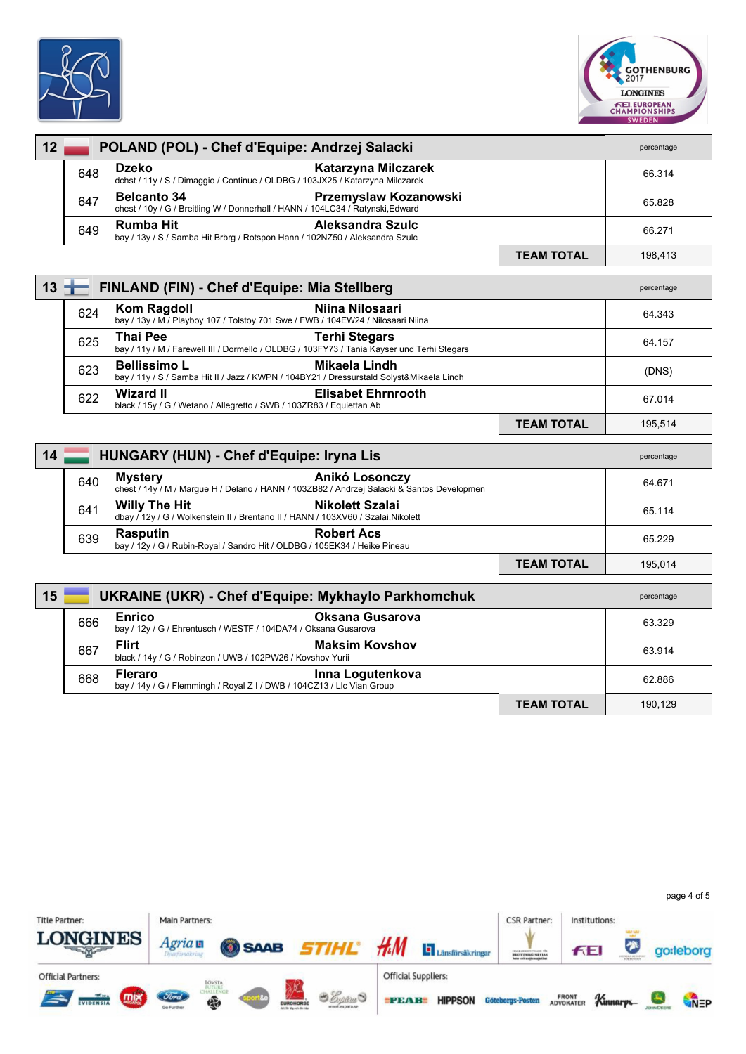



| 12     |     | POLAND (POL) - Chef d'Equipe: Andrzej Salacki                                                                                         |                   | percentage |
|--------|-----|---------------------------------------------------------------------------------------------------------------------------------------|-------------------|------------|
|        | 648 | <b>Dzeko</b><br>Katarzyna Milczarek<br>dchst / 11y / S / Dimaggio / Continue / OLDBG / 103JX25 / Katarzyna Milczarek                  |                   | 66.314     |
|        | 647 | <b>Belcanto 34</b><br>Przemyslaw Kozanowski<br>chest / 10y / G / Breitling W / Donnerhall / HANN / 104LC34 / Ratynski, Edward         |                   | 65.828     |
|        | 649 | <b>Rumba Hit</b><br>Aleksandra Szulc<br>bay / 13y / S / Samba Hit Brbrg / Rotspon Hann / 102NZ50 / Aleksandra Szulc                   |                   | 66.271     |
|        |     |                                                                                                                                       | <b>TEAM TOTAL</b> | 198,413    |
| $13 -$ |     | FINLAND (FIN) - Chef d'Equipe: Mia Stellberg                                                                                          |                   | percentage |
|        | 624 | <b>Kom Ragdoll</b><br>Niina Nilosaari<br>bay / 13y / M / Playboy 107 / Tolstoy 701 Swe / FWB / 104EW24 / Nilosaari Niina              |                   | 64.343     |
|        | 625 | <b>Thai Pee</b><br><b>Terhi Stegars</b><br>bay / 11y / M / Farewell III / Dormello / OLDBG / 103FY73 / Tania Kayser und Terhi Stegars |                   | 64.157     |
|        | 623 | <b>Bellissimo L</b><br>Mikaela Lindh<br>bay / 11y / S / Samba Hit II / Jazz / KWPN / 104BY21 / Dressurstald Solyst&Mikaela Lindh      |                   | (DNS)      |
|        | 622 | <b>Wizard II</b><br><b>Elisabet Ehrnrooth</b><br>black / 15y / G / Wetano / Allegretto / SWB / 103ZR83 / Equiettan Ab                 |                   | 67.014     |
|        |     |                                                                                                                                       | <b>TEAM TOTAL</b> | 195,514    |
| 14     |     | HUNGARY (HUN) - Chef d'Equipe: Iryna Lis                                                                                              |                   | percentage |
|        | 640 | <b>Mystery</b><br>Anikó Losonczy<br>chest / 14y / M / Margue H / Delano / HANN / 103ZB82 / Andrzej Salacki & Santos Developmen        |                   | 64.671     |
|        | 641 | <b>Willy The Hit</b><br><b>Nikolett Szalai</b><br>dbay / 12y / G / Wolkenstein II / Brentano II / HANN / 103XV60 / Szalai, Nikolett   |                   | 65.114     |
|        | 639 | <b>Rasputin</b><br><b>Robert Acs</b><br>bay / 12y / G / Rubin-Royal / Sandro Hit / OLDBG / 105EK34 / Heike Pineau                     |                   | 65.229     |
|        |     |                                                                                                                                       | <b>TEAM TOTAL</b> | 195,014    |
| 15     |     | <b>UKRAINE (UKR) - Chef d'Equipe: Mykhaylo Parkhomchuk</b>                                                                            |                   | percentage |
|        | 666 | <b>Enrico</b><br><b>Oksana Gusarova</b><br>bay / 12y / G / Ehrentusch / WESTF / 104DA74 / Oksana Gusarova                             |                   | 63.329     |
|        | 667 | <b>Flirt</b><br><b>Maksim Kovshov</b><br>black / 14y / G / Robinzon / UWB / 102PW26 / Kovshov Yurii                                   |                   | 63.914     |
|        | 668 | <b>Fleraro</b><br>Inna Logutenkova<br>bay / 14y / G / Flemmingh / Royal Z I / DWB / 104CZ13 / Llc Vian Group                          |                   | 62.886     |
|        |     |                                                                                                                                       | <b>TEAM TOTAL</b> | 190,129    |